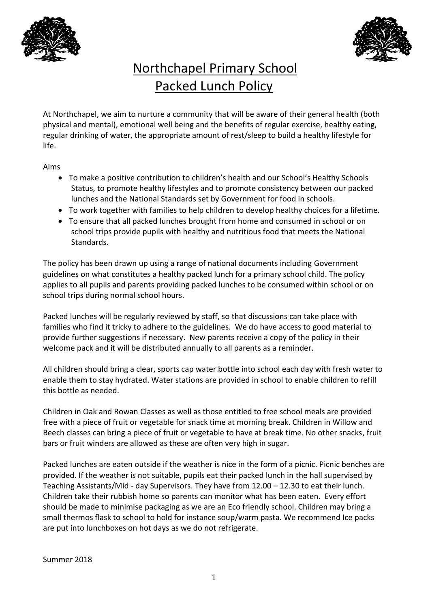



## Northchapel Primary School Packed Lunch Policy

At Northchapel, we aim to nurture a community that will be aware of their general health (both physical and mental), emotional well being and the benefits of regular exercise, healthy eating, regular drinking of water, the appropriate amount of rest/sleep to build a healthy lifestyle for life.

Aims

- To make a positive contribution to children's health and our School's Healthy Schools Status, to promote healthy lifestyles and to promote consistency between our packed lunches and the National Standards set by Government for food in schools.
- To work together with families to help children to develop healthy choices for a lifetime.
- To ensure that all packed lunches brought from home and consumed in school or on school trips provide pupils with healthy and nutritious food that meets the National Standards.

The policy has been drawn up using a range of national documents including Government guidelines on what constitutes a healthy packed lunch for a primary school child. The policy applies to all pupils and parents providing packed lunches to be consumed within school or on school trips during normal school hours.

Packed lunches will be regularly reviewed by staff, so that discussions can take place with families who find it tricky to adhere to the guidelines. We do have access to good material to provide further suggestions if necessary. New parents receive a copy of the policy in their welcome pack and it will be distributed annually to all parents as a reminder.

All children should bring a clear, sports cap water bottle into school each day with fresh water to enable them to stay hydrated. Water stations are provided in school to enable children to refill this bottle as needed.

Children in Oak and Rowan Classes as well as those entitled to free school meals are provided free with a piece of fruit or vegetable for snack time at morning break. Children in Willow and Beech classes can bring a piece of fruit or vegetable to have at break time. No other snacks, fruit bars or fruit winders are allowed as these are often very high in sugar.

Packed lunches are eaten outside if the weather is nice in the form of a picnic. Picnic benches are provided. If the weather is not suitable, pupils eat their packed lunch in the hall supervised by Teaching Assistants/Mid - day Supervisors. They have from 12.00 – 12.30 to eat their lunch. Children take their rubbish home so parents can monitor what has been eaten. Every effort should be made to minimise packaging as we are an Eco friendly school. Children may bring a small thermos flask to school to hold for instance soup/warm pasta. We recommend Ice packs are put into lunchboxes on hot days as we do not refrigerate.